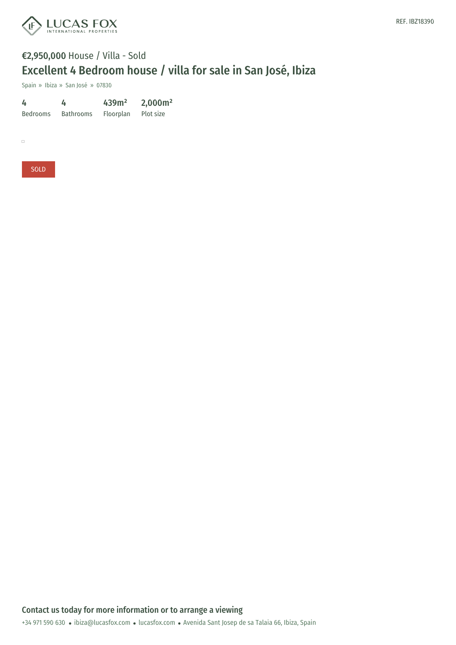

## €2,950,000 House / Villa - Sold Excellent 4 Bedroom house / villa for sale in San José, Ibiza

Spain » Ibiza » San José » 07830

4 Bedrooms Bathrooms Floorplan 4 439m² 2,000m² Plot size

 $\Box$ 

SOLD